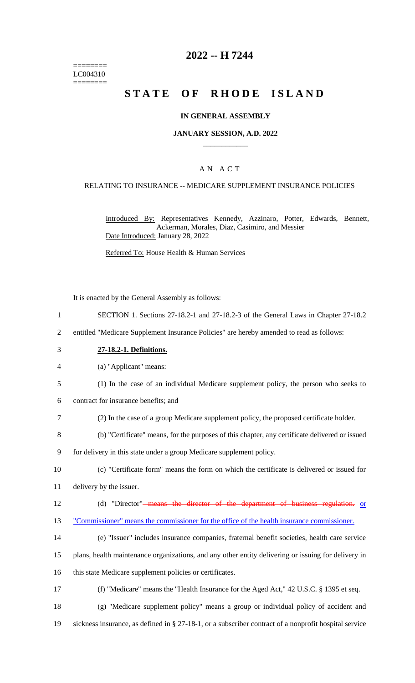======== LC004310 ========

# **2022 -- H 7244**

# **STATE OF RHODE ISLAND**

#### **IN GENERAL ASSEMBLY**

#### **JANUARY SESSION, A.D. 2022 \_\_\_\_\_\_\_\_\_\_\_\_**

### A N A C T

#### RELATING TO INSURANCE -- MEDICARE SUPPLEMENT INSURANCE POLICIES

Introduced By: Representatives Kennedy, Azzinaro, Potter, Edwards, Bennett, Ackerman, Morales, Diaz, Casimiro, and Messier Date Introduced: January 28, 2022

Referred To: House Health & Human Services

It is enacted by the General Assembly as follows:

- 1 SECTION 1. Sections 27-18.2-1 and 27-18.2-3 of the General Laws in Chapter 27-18.2
- 2 entitled "Medicare Supplement Insurance Policies" are hereby amended to read as follows:
- 3 **27-18.2-1. Definitions.**
- 4 (a) "Applicant" means:
- 5 (1) In the case of an individual Medicare supplement policy, the person who seeks to
- 6 contract for insurance benefits; and
- 7 (2) In the case of a group Medicare supplement policy, the proposed certificate holder.
- 8 (b) "Certificate" means, for the purposes of this chapter, any certificate delivered or issued
- 9 for delivery in this state under a group Medicare supplement policy.
- 10 (c) "Certificate form" means the form on which the certificate is delivered or issued for

11 delivery by the issuer.

- 12 (d) "Director"<del> means the director of the department of business regulation.</del> or
- 13 "Commissioner" means the commissioner for the office of the health insurance commissioner.
- 14 (e) "Issuer" includes insurance companies, fraternal benefit societies, health care service
- 15 plans, health maintenance organizations, and any other entity delivering or issuing for delivery in
- 16 this state Medicare supplement policies or certificates.
- 17 (f) "Medicare" means the "Health Insurance for the Aged Act," 42 U.S.C. § 1395 et seq.
- 18 (g) "Medicare supplement policy" means a group or individual policy of accident and 19 sickness insurance, as defined in § 27-18-1, or a subscriber contract of a nonprofit hospital service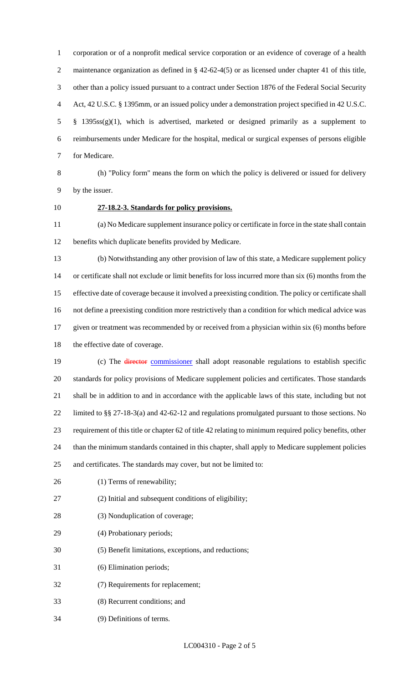corporation or of a nonprofit medical service corporation or an evidence of coverage of a health 2 maintenance organization as defined in § 42-62-4(5) or as licensed under chapter 41 of this title, other than a policy issued pursuant to a contract under Section 1876 of the Federal Social Security Act, 42 U.S.C. § 1395mm, or an issued policy under a demonstration project specified in 42 U.S.C. § 1395ss(g)(1), which is advertised, marketed or designed primarily as a supplement to reimbursements under Medicare for the hospital, medical or surgical expenses of persons eligible for Medicare.

 (h) "Policy form" means the form on which the policy is delivered or issued for delivery by the issuer.

# **27-18.2-3. Standards for policy provisions.**

 (a) No Medicare supplement insurance policy or certificate in force in the state shall contain benefits which duplicate benefits provided by Medicare.

 (b) Notwithstanding any other provision of law of this state, a Medicare supplement policy or certificate shall not exclude or limit benefits for loss incurred more than six (6) months from the effective date of coverage because it involved a preexisting condition. The policy or certificate shall not define a preexisting condition more restrictively than a condition for which medical advice was given or treatment was recommended by or received from a physician within six (6) months before the effective date of coverage.

19 (c) The *director* commissioner shall adopt reasonable regulations to establish specific standards for policy provisions of Medicare supplement policies and certificates. Those standards shall be in addition to and in accordance with the applicable laws of this state, including but not limited to §§ 27-18-3(a) and 42-62-12 and regulations promulgated pursuant to those sections. No requirement of this title or chapter 62 of title 42 relating to minimum required policy benefits, other than the minimum standards contained in this chapter, shall apply to Medicare supplement policies and certificates. The standards may cover, but not be limited to:

26 (1) Terms of renewability;

- (2) Initial and subsequent conditions of eligibility;
- (3) Nonduplication of coverage;
- (4) Probationary periods;
- (5) Benefit limitations, exceptions, and reductions;
- (6) Elimination periods;
- (7) Requirements for replacement;
- (8) Recurrent conditions; and
- (9) Definitions of terms.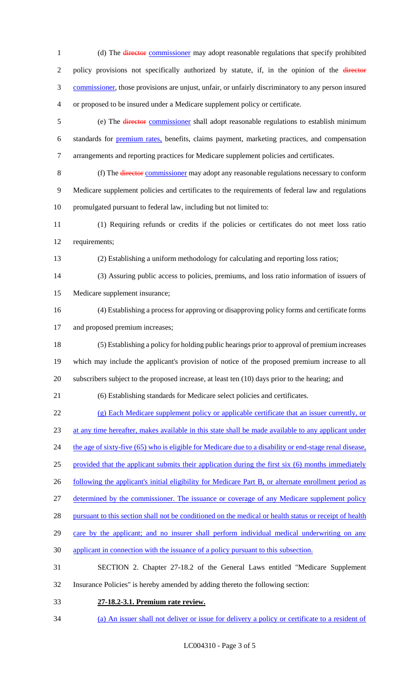1 (d) The director commissioner may adopt reasonable regulations that specify prohibited 2 policy provisions not specifically authorized by statute, if, in the opinion of the director commissioner, those provisions are unjust, unfair, or unfairly discriminatory to any person insured or proposed to be insured under a Medicare supplement policy or certificate. (e) The director commissioner shall adopt reasonable regulations to establish minimum standards for premium rates, benefits, claims payment, marketing practices, and compensation arrangements and reporting practices for Medicare supplement policies and certificates. (f) The director commissioner may adopt any reasonable regulations necessary to conform Medicare supplement policies and certificates to the requirements of federal law and regulations promulgated pursuant to federal law, including but not limited to: (1) Requiring refunds or credits if the policies or certificates do not meet loss ratio requirements; (2) Establishing a uniform methodology for calculating and reporting loss ratios; (3) Assuring public access to policies, premiums, and loss ratio information of issuers of Medicare supplement insurance; (4) Establishing a process for approving or disapproving policy forms and certificate forms and proposed premium increases; (5) Establishing a policy for holding public hearings prior to approval of premium increases which may include the applicant's provision of notice of the proposed premium increase to all subscribers subject to the proposed increase, at least ten (10) days prior to the hearing; and (6) Establishing standards for Medicare select policies and certificates. (g) Each Medicare supplement policy or applicable certificate that an issuer currently, or at any time hereafter, makes available in this state shall be made available to any applicant under 24 the age of sixty-five (65) who is eligible for Medicare due to a disability or end-stage renal disease, provided that the applicant submits their application during the first six (6) months immediately 26 following the applicant's initial eligibility for Medicare Part B, or alternate enrollment period as determined by the commissioner. The issuance or coverage of any Medicare supplement policy 28 pursuant to this section shall not be conditioned on the medical or health status or receipt of health 29 care by the applicant; and no insurer shall perform individual medical underwriting on any applicant in connection with the issuance of a policy pursuant to this subsection. SECTION 2. Chapter 27-18.2 of the General Laws entitled "Medicare Supplement Insurance Policies" is hereby amended by adding thereto the following section: **27-18.2-3.1. Premium rate review.** 

(a) An issuer shall not deliver or issue for delivery a policy or certificate to a resident of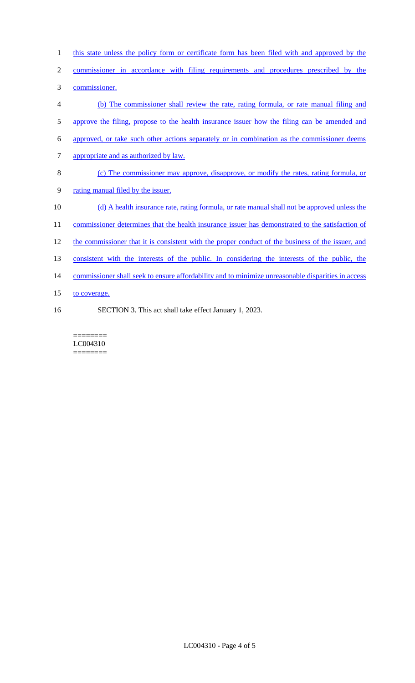| $\mathbf{1}$   | this state unless the policy form or certificate form has been filed with and approved by the      |
|----------------|----------------------------------------------------------------------------------------------------|
| $\overline{2}$ | commissioner in accordance with filing requirements and procedures prescribed by the               |
| 3              | commissioner.                                                                                      |
| 4              | (b) The commissioner shall review the rate, rating formula, or rate manual filing and              |
| 5              | approve the filing, propose to the health insurance issuer how the filing can be amended and       |
| 6              | approved, or take such other actions separately or in combination as the commissioner deems        |
| 7              | appropriate and as authorized by law.                                                              |
| 8              | (c) The commissioner may approve, disapprove, or modify the rates, rating formula, or              |
| 9              | rating manual filed by the issuer.                                                                 |
| 10             | (d) A health insurance rate, rating formula, or rate manual shall not be approved unless the       |
| 11             | commissioner determines that the health insurance issuer has demonstrated to the satisfaction of   |
| 12             | the commissioner that it is consistent with the proper conduct of the business of the issuer, and  |
| 13             | consistent with the interests of the public. In considering the interests of the public, the       |
| 14             | commissioner shall seek to ensure affordability and to minimize unreasonable disparities in access |
| 15             | to coverage.                                                                                       |
| 16             | SECTION 3. This act shall take effect January 1, 2023.                                             |

======== LC004310 ========